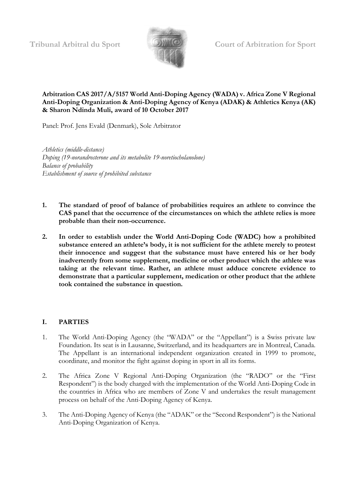

#### **Arbitration CAS 2017/A/5157 World Anti-Doping Agency (WADA) v. Africa Zone V Regional Anti-Doping Organization & Anti-Doping Agency of Kenya (ADAK) & Athletics Kenya (AK) & Sharon Ndinda Muli, award of 10 October 2017**

Panel: Prof. Jens Evald (Denmark), Sole Arbitrator

*Athletics (middle-distance) Doping (19-norandrosterone and its metabolite 19-noretiocholanolone) Balance of probability Establishment of source of prohibited substance*

- **1. The standard of proof of balance of probabilities requires an athlete to convince the CAS panel that the occurrence of the circumstances on which the athlete relies is more probable than their non-occurrence.**
- **2. In order to establish under the World Anti-Doping Code (WADC) how a prohibited substance entered an athlete's body, it is not sufficient for the athlete merely to protest their innocence and suggest that the substance must have entered his or her body inadvertently from some supplement, medicine or other product which the athlete was taking at the relevant time. Rather, an athlete must adduce concrete evidence to demonstrate that a particular supplement, medication or other product that the athlete took contained the substance in question.**

# **I. PARTIES**

- 1. The World Anti-Doping Agency (the "WADA" or the "Appellant") is a Swiss private law Foundation. Its seat is in Lausanne, Switzerland, and its headquarters are in Montreal, Canada. The Appellant is an international independent organization created in 1999 to promote, coordinate, and monitor the fight against doping in sport in all its forms.
- 2. The Africa Zone V Regional Anti-Doping Organization (the "RADO" or the "First Respondent") is the body charged with the implementation of the World Anti-Doping Code in the countries in Africa who are members of Zone V and undertakes the result management process on behalf of the Anti-Doping Agency of Kenya.
- 3. The Anti-Doping Agency of Kenya (the "ADAK" or the "Second Respondent") is the National Anti-Doping Organization of Kenya.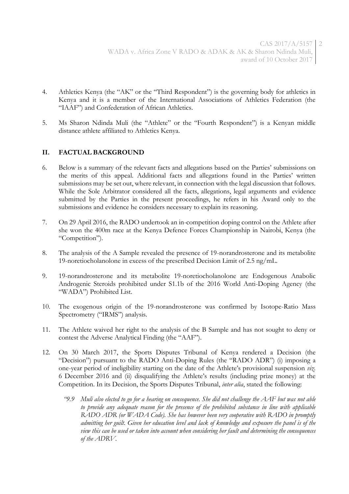- 4. Athletics Kenya (the "AK" or the "Third Respondent") is the governing body for athletics in Kenya and it is a member of the International Associations of Athletics Federation (the "IAAF") and Confederation of African Athletics.
- 5. Ms Sharon Ndinda Muli (the "Athlete" or the "Fourth Respondent") is a Kenyan middle distance athlete affiliated to Athletics Kenya.

# **II. FACTUAL BACKGROUND**

- 6. Below is a summary of the relevant facts and allegations based on the Parties' submissions on the merits of this appeal. Additional facts and allegations found in the Parties' written submissions may be set out, where relevant, in connection with the legal discussion that follows. While the Sole Arbitrator considered all the facts, allegations, legal arguments and evidence submitted by the Parties in the present proceedings, he refers in his Award only to the submissions and evidence he considers necessary to explain its reasoning.
- 7. On 29 April 2016, the RADO undertook an in-competition doping control on the Athlete after she won the 400m race at the Kenya Defence Forces Championship in Nairobi, Kenya (the "Competition").
- 8. The analysis of the A Sample revealed the presence of 19-norandrosterone and its metabolite 19-noretiocholanolone in excess of the prescribed Decision Limit of 2.5 ng/mL.
- 9. 19-norandrosterone and its metabolite 19-noretiocholanolone are Endogenous Anabolic Androgenic Steroids prohibited under S1.1b of the 2016 World Anti-Doping Agency (the "WADA") Prohibited List.
- 10. The exogenous origin of the 19-norandrosterone was confirmed by Isotope-Ratio Mass Spectrometry ("IRMS") analysis.
- 11. The Athlete waived her right to the analysis of the B Sample and has not sought to deny or contest the Adverse Analytical Finding (the "AAF").
- 12. On 30 March 2017, the Sports Disputes Tribunal of Kenya rendered a Decision (the "Decision") pursuant to the RADO Anti-Doping Rules (the "RADO ADR") (i) imposing a one-year period of ineligibility starting on the date of the Athlete's provisional suspension *viz.* 6 December 2016 and (ii) disqualifying the Athlete's results (including prize money) at the Competition. In its Decision, the Sports Disputes Tribunal, *inter alia*, stated the following:
	- *"9.9 Muli also elected to go for a hearing on consequence. She did not challenge the AAF but was not able to provide any adequate reason for the presence of the prohibited substance in line with applicable RADO ADR (or WADA Code). She has however been very cooperative with RADO in promptly admitting her guilt. Given her education level and lack of knowledge and exposure the panel is of the view this can be used or taken into account when considering her fault and determining the consequences of the ADRV.*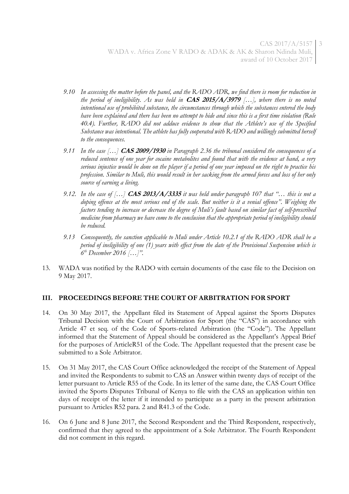- *9.10 In assessing the matter before the panel, and the RADO ADR, we find there is room for reduction in the period of ineligibility. As was held in* **CAS 2015/A/3979** *[…], where there is no noted intentional use of prohibited substance, the circumstances through which the substances entered the body have been explained and there has been no attempt to hide and since this is a first time violation (Rule 40.4). Further, RADO did not adduce evidence to show that the Athlete's use of the Specified Substance was intentional. The athlete has fully cooperated with RADO and willingly submitted herself to the consequences.*
- *9.11 In the case […]* **CAS 2009/1930** *in Paragraph 2.36 the tribunal considered the consequences of a reduced sentence of one year for cocaine metabolites and found that with the evidence at hand, a very serious injustice would be done on the player if a period of one year imposed on the right to practice his profession. Similar to Muli, this would result in her sacking from the armed forces and loss of her only source of earning a living.*
- *9.12. In the case of […]* **CAS 2013/A/3335** *it was held under paragraph 107 that "… this is not a doping offence at the most serious end of the scale. But neither is it a venial offence". Weighing the factors tending to increase or decrease the degree of Muli's fault based on similar fact of self-prescribed medicine from pharmacy we have come to the conclusion that the appropriate period of ineligibility should be reduced.*
- *9.13 Consequently, the sanction applicable to Muli under Article 10.2.1 of the RADO ADR shall be a period of ineligibility of one (1) years with effect from the date of the Provisional Suspension which is 6 th December 2016 […]".*
- 13. WADA was notified by the RADO with certain documents of the case file to the Decision on 9 May 2017.

# **III. PROCEEDINGS BEFORE THE COURT OF ARBITRATION FOR SPORT**

- 14. On 30 May 2017, the Appellant filed its Statement of Appeal against the Sports Disputes Tribunal Decision with the Court of Arbitration for Sport (the "CAS") in accordance with Article 47 et seq. of the Code of Sports-related Arbitration (the "Code"). The Appellant informed that the Statement of Appeal should be considered as the Appellant's Appeal Brief for the purposes of ArticleR51 of the Code. The Appellant requested that the present case be submitted to a Sole Arbitrator.
- 15. On 31 May 2017, the CAS Court Office acknowledged the receipt of the Statement of Appeal and invited the Respondents to submit to CAS an Answer within twenty days of receipt of the letter pursuant to Article R55 of the Code. In its letter of the same date, the CAS Court Office invited the Sports Disputes Tribunal of Kenya to file with the CAS an application within ten days of receipt of the letter if it intended to participate as a party in the present arbitration pursuant to Articles R52 para. 2 and R41.3 of the Code.
- 16. On 6 June and 8 June 2017, the Second Respondent and the Third Respondent, respectively, confirmed that they agreed to the appointment of a Sole Arbitrator. The Fourth Respondent did not comment in this regard.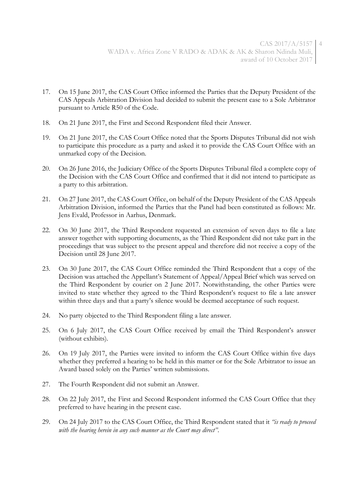- 17. On 15 June 2017, the CAS Court Office informed the Parties that the Deputy President of the CAS Appeals Arbitration Division had decided to submit the present case to a Sole Arbitrator pursuant to Article R50 of the Code.
- 18. On 21 June 2017, the First and Second Respondent filed their Answer.
- 19. On 21 June 2017, the CAS Court Office noted that the Sports Disputes Tribunal did not wish to participate this procedure as a party and asked it to provide the CAS Court Office with an unmarked copy of the Decision.
- 20. On 26 June 2016, the Judiciary Office of the Sports Disputes Tribunal filed a complete copy of the Decision with the CAS Court Office and confirmed that it did not intend to participate as a party to this arbitration.
- 21. On 27 June 2017, the CAS Court Office, on behalf of the Deputy President of the CAS Appeals Arbitration Division, informed the Parties that the Panel had been constituted as follows: Mr. Jens Evald, Professor in Aarhus, Denmark.
- 22. On 30 June 2017, the Third Respondent requested an extension of seven days to file a late answer together with supporting documents, as the Third Respondent did not take part in the proceedings that was subject to the present appeal and therefore did not receive a copy of the Decision until 28 June 2017.
- 23. On 30 June 2017, the CAS Court Office reminded the Third Respondent that a copy of the Decision was attached the Appellant's Statement of Appeal/Appeal Brief which was served on the Third Respondent by courier on 2 June 2017. Notwithstanding, the other Parties were invited to state whether they agreed to the Third Respondent's request to file a late answer within three days and that a party's silence would be deemed acceptance of such request.
- 24. No party objected to the Third Respondent filing a late answer.
- 25. On 6 July 2017, the CAS Court Office received by email the Third Respondent's answer (without exhibits).
- 26. On 19 July 2017, the Parties were invited to inform the CAS Court Office within five days whether they preferred a hearing to be held in this matter or for the Sole Arbitrator to issue an Award based solely on the Parties' written submissions.
- 27. The Fourth Respondent did not submit an Answer.
- 28. On 22 July 2017, the First and Second Respondent informed the CAS Court Office that they preferred to have hearing in the present case.
- 29. On 24 July 2017 to the CAS Court Office, the Third Respondent stated that it *"is ready to proceed with the hearing herein in any such manner as the Court may direct"*.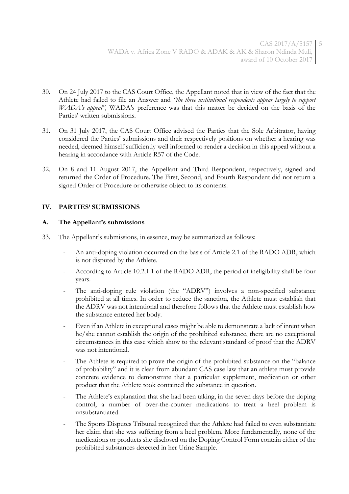- 30. On 24 July 2017 to the CAS Court Office, the Appellant noted that in view of the fact that the Athlete had failed to file an Answer and *"the three institutional respondents appear largely to support WADA's appeal"*, WADA's preference was that this matter be decided on the basis of the Parties' written submissions.
- 31. On 31 July 2017, the CAS Court Office advised the Parties that the Sole Arbitrator, having considered the Parties' submissions and their respectively positions on whether a hearing was needed, deemed himself sufficiently well informed to render a decision in this appeal without a hearing in accordance with Article R57 of the Code.
- 32. On 8 and 11 August 2017, the Appellant and Third Respondent, respectively, signed and returned the Order of Procedure. The First, Second, and Fourth Respondent did not return a signed Order of Procedure or otherwise object to its contents.

# **IV. PARTIES' SUBMISSIONS**

## **A. The Appellant's submissions**

- 33. The Appellant's submissions, in essence, may be summarized as follows:
	- An anti-doping violation occurred on the basis of Article 2.1 of the RADO ADR, which is not disputed by the Athlete.
	- According to Article 10.2.1.1 of the RADO ADR, the period of ineligibility shall be four years.
	- The anti-doping rule violation (the "ADRV") involves a non-specified substance prohibited at all times. In order to reduce the sanction, the Athlete must establish that the ADRV was not intentional and therefore follows that the Athlete must establish how the substance entered her body.
	- Even if an Athlete in exceptional cases might be able to demonstrate a lack of intent when he/she cannot establish the origin of the prohibited substance, there are no exceptional circumstances in this case which show to the relevant standard of proof that the ADRV was not intentional.
	- The Athlete is required to prove the origin of the prohibited substance on the "balance" of probability" and it is clear from abundant CAS case law that an athlete must provide concrete evidence to demonstrate that a particular supplement, medication or other product that the Athlete took contained the substance in question.
	- The Athlete's explanation that she had been taking, in the seven days before the doping control, a number of over-the-counter medications to treat a heel problem is unsubstantiated.
	- The Sports Disputes Tribunal recognized that the Athlete had failed to even substantiate her claim that she was suffering from a heel problem. More fundamentally, none of the medications or products she disclosed on the Doping Control Form contain either of the prohibited substances detected in her Urine Sample.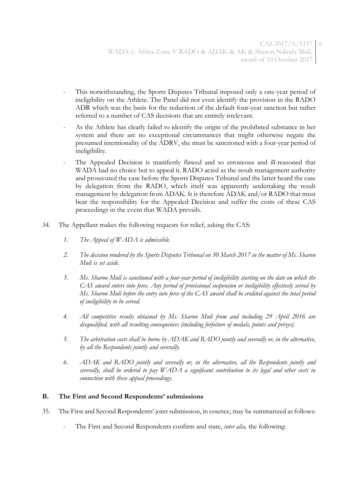- This notwithstanding, the Sports Disputes Tribunal imposed only a one-year period of ineligibility on the Athlete. The Panel did not even identify the provision in the RADO ADR which was the basis for the reduction of the default four-year sanction but rather referred to a number of CAS decisions that are entirely irrelevant.
- As the Athlete has clearly failed to identify the origin of the prohibited substance in her system and there are no exceptional circumstances that might otherwise negate the presumed intentionality of the ADRV, she must be sanctioned with a four-year period of ineligibility.
- The Appealed Decision is manifestly flawed and so erroneous and ill-reasoned that WADA had no choice but to appeal it. RADO acted as the result management authority and prosecuted the case before the Sports Disputes Tribunal and the latter heard the case by delegation from the RADO, which itself was apparently undertaking the result management by delegation from ADAK. It is therefore ADAK and/or RADO that must bear the responsibility for the Appealed Decision and suffer the costs of these CAS proceedings in the event that WADA prevails.
- 34. The Appellant makes the following requests for relief, asking the CAS:
	- *1. The Appeal of WADA is admissible.*
	- *2. The decision rendered by the Sports Disputes Tribunal on 30 March 2017 in the matter of Ms. Sharon Muli is set aside.*
	- *3. Ms. Sharon Muli is sanctioned with a four-year period of ineligibility starting on the date on which the CAS award enters into force. Any period of provisional suspension or ineligibility effectively served by Ms. Sharon Muli before the entry into force of the CAS award shall be credited against the total period of ineligibility to be served.*
	- *4. All competitive results obtained by Ms. Sharon Muli from and including 29 April 2016 are disqualified, with all resulting consequences (including forfeiture of medals, points and prizes).*
	- *5. The arbitration costs shall be borne by ADAK and RADO jointly and severally or, in the alternative, by all the Respondents jointly and severally.*
	- *6. ADAK and RADO jointly and severally or, in the alternative, all the Respondents jointly and severally, shall be ordered to pay WADA a significant contribution to its legal and other costs in connection with these appeal proceedings.*

#### **B. The First and Second Respondents' submissions**

- 35. The First and Second Respondents' joint submission, in essence, may be summarized as follows:
	- The First and Second Respondents confirm and state, *inter alia*, the following: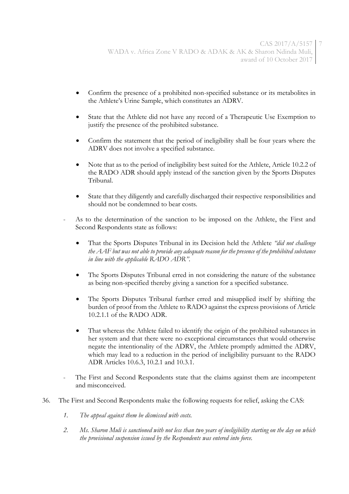- Confirm the presence of a prohibited non-specified substance or its metabolites in the Athlete's Urine Sample, which constitutes an ADRV.
- State that the Athlete did not have any record of a Therapeutic Use Exemption to justify the presence of the prohibited substance.
- Confirm the statement that the period of ineligibility shall be four years where the ADRV does not involve a specified substance.
- Note that as to the period of ineligibility best suited for the Athlete, Article 10.2.2 of the RADO ADR should apply instead of the sanction given by the Sports Disputes Tribunal.
- State that they diligently and carefully discharged their respective responsibilities and should not be condemned to bear costs.
- As to the determination of the sanction to be imposed on the Athlete, the First and Second Respondents state as follows:
	- That the Sports Disputes Tribunal in its Decision held the Athlete *"did not challenge the AAF but was not able to provide any adequate reason for the presence of the prohibited substance in line with the applicable RADO ADR"*.
	- The Sports Disputes Tribunal erred in not considering the nature of the substance as being non-specified thereby giving a sanction for a specified substance.
	- The Sports Disputes Tribunal further erred and misapplied itself by shifting the burden of proof from the Athlete to RADO against the express provisions of Article 10.2.1.1 of the RADO ADR.
	- That whereas the Athlete failed to identify the origin of the prohibited substances in her system and that there were no exceptional circumstances that would otherwise negate the intentionality of the ADRV, the Athlete promptly admitted the ADRV, which may lead to a reduction in the period of ineligibility pursuant to the RADO ADR Articles 10.6.3, 10.2.1 and 10.3.1.
- The First and Second Respondents state that the claims against them are incompetent and misconceived.
- 36. The First and Second Respondents make the following requests for relief, asking the CAS:
	- *1. The appeal against them be dismissed with costs.*
	- *2. Ms. Sharon Muli is sanctioned with not less than two years of ineligibility starting on the day on which the provisional suspension issued by the Respondents was entered into force.*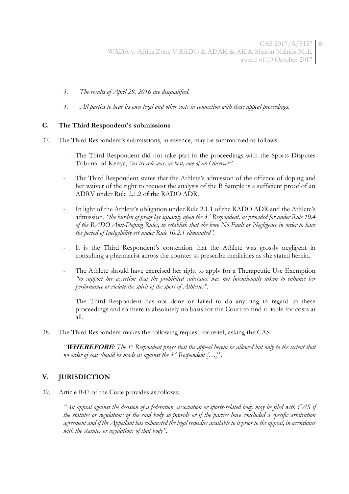- *3. The results of April 29, 2016 are disqualified.*
- *4. All parties to bear its own legal and other costs in connection with these appeal proceedings.*

## **C. The Third Respondent's submissions**

- 37. The Third Respondent's submissions, in essence, may be summarized as follows:
	- The Third Respondent did not take part in the proceedings with the Sports Disputes Tribunal of Kenya, *"as its role was, at best, one of an Observer"*.
	- The Third Respondent states that the Athlete's admission of the offence of doping and her waiver of the right to request the analysis of the B Sample is a sufficient proof of an ADRV under Rule 2.1.2 of the RADO ADR.
	- In light of the Athlete's obligation under Rule 2.1.1 of the RADO ADR and the Athlete's admission, *"the burden of proof lay squarely upon the 3rd Respondent, as provided for under Rule 10.4 of the RADO Anti-Doping Rules, to establish that she bore No Fault or Negligence in order to have the period of Ineligibility set under Rule 10.2.1 eliminated".*
	- It is the Third Respondent's contention that the Athlete was grossly negligent in consulting a pharmacist across the counter to prescribe medicines as she stated herein.
	- The Athlete should have exercised her right to apply for a Therapeutic Use Exemption *"to support her assertion that the prohibited substance was not intentionally taken to enhance her performance or violate the spirit of the sport of Athletics".*
	- The Third Respondent has not done or failed to do anything in regard to these proceedings and so there is absolutely no basis for the Court to find it liable for costs at all.
- 38. The Third Respondent makes the following request for relief, asking the CAS:

*"***WHEREFORE***: The 1st Respondent prays that the appeal herein be allowed but only to the extent that no order of cost should be made as against the 3rd Respondent […]".*

# **V. JURISDICTION**

39. Article R47 of the Code provides as follows:

*"An appeal against the decision of a federation, association or sports-related body may be filed with CAS if the statutes or regulations of the said body so provide or if the parties have concluded a specific arbitration agreement and if the Appellant has exhausted the legal remedies available to it prior to the appeal, in accordance with the statutes or regulations of that body".*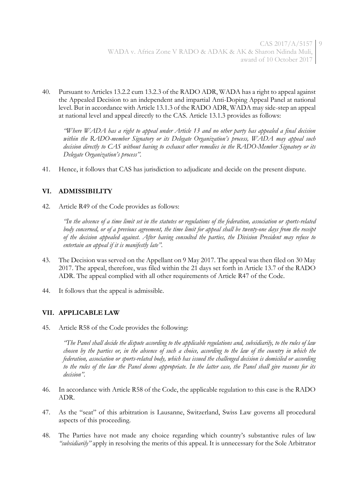40. Pursuant to Articles 13.2.2 cum 13.2.3 of the RADO ADR, WADA has a right to appeal against the Appealed Decision to an independent and impartial Anti-Doping Appeal Panel at national level. But in accordance with Article 13.1.3 of the RADO ADR, WADA may side-step an appeal at national level and appeal directly to the CAS. Article 13.1.3 provides as follows:

*"Where WADA has a right to appeal under Article 13 and no other party has appealed a final decision within the RADO-member Signatory or its Delegate Organization's process, WADA may appeal such decision directly to CAS without having to exhaust other remedies in the RADO-Member Signatory or its Delegate Organization's process".*

41. Hence, it follows that CAS has jurisdiction to adjudicate and decide on the present dispute.

# **VI. ADMISSIBILITY**

42. Article R49 of the Code provides as follows:

*"In the absence of a time limit set in the statutes or regulations of the federation, association or sports-related body concerned, or of a previous agreement, the time limit for appeal shall be twenty-one days from the receipt of the decision appealed against. After having consulted the parties, the Division President may refuse to entertain an appeal if it is manifestly late".*

- 43. The Decision was served on the Appellant on 9 May 2017. The appeal was then filed on 30 May 2017. The appeal, therefore, was filed within the 21 days set forth in Article 13.7 of the RADO ADR. The appeal complied with all other requirements of Article R47 of the Code.
- 44. It follows that the appeal is admissible.

# **VII. APPLICABLE LAW**

45. Article R58 of the Code provides the following:

*"The Panel shall decide the dispute according to the applicable regulations and, subsidiarily, to the rules of law chosen by the parties or, in the absence of such a choice, according to the law of the country in which the federation, association or sports-related body, which has issued the challenged decision is domiciled or according to the rules of the law the Panel deems appropriate. In the latter case, the Panel shall give reasons for its decision".*

- 46. In accordance with Article R58 of the Code, the applicable regulation to this case is the RADO ADR.
- 47. As the "seat" of this arbitration is Lausanne, Switzerland, Swiss Law governs all procedural aspects of this proceeding.
- 48. The Parties have not made any choice regarding which country's substantive rules of law *"subsidiarily"* apply in resolving the merits of this appeal. It is unnecessary for the Sole Arbitrator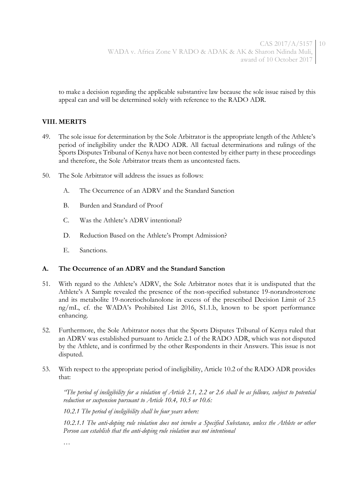to make a decision regarding the applicable substantive law because the sole issue raised by this appeal can and will be determined solely with reference to the RADO ADR.

## **VIII. MERITS**

- 49. The sole issue for determination by the Sole Arbitrator is the appropriate length of the Athlete's period of ineligibility under the RADO ADR. All factual determinations and rulings of the Sports Disputes Tribunal of Kenya have not been contested by either party in these proceedings and therefore, the Sole Arbitrator treats them as uncontested facts.
- 50. The Sole Arbitrator will address the issues as follows:
	- A. The Occurrence of an ADRV and the Standard Sanction
	- B. Burden and Standard of Proof
	- C. Was the Athlete's ADRV intentional?
	- D. Reduction Based on the Athlete's Prompt Admission?
	- E. Sanctions.

#### **A. The Occurrence of an ADRV and the Standard Sanction**

- 51. With regard to the Athlete's ADRV, the Sole Arbitrator notes that it is undisputed that the Athlete's A Sample revealed the presence of the non-specified substance 19-norandrosterone and its metabolite 19-noretiocholanolone in excess of the prescribed Decision Limit of 2.5 ng/mL, cf. the WADA's Prohibited List 2016, S1.1.b, known to be sport performance enhancing.
- 52. Furthermore, the Sole Arbitrator notes that the Sports Disputes Tribunal of Kenya ruled that an ADRV was established pursuant to Article 2.1 of the RADO ADR, which was not disputed by the Athlete, and is confirmed by the other Respondents in their Answers. This issue is not disputed.
- 53. With respect to the appropriate period of ineligibility, Article 10.2 of the RADO ADR provides that:

*"The period of ineligibility for a violation of Article 2.1, 2.2 or 2.6 shall be as follows, subject to potential reduction or suspension pursuant to Article 10.4, 10.5 or 10.6:*

*10.2.1 The period of ineligibility shall be four years where:*

*10.2.1.1 The anti-doping rule violation does not involve a Specified Substance, unless the Athlete or other Person can establish that the anti-doping rule violation was not intentional*

*…*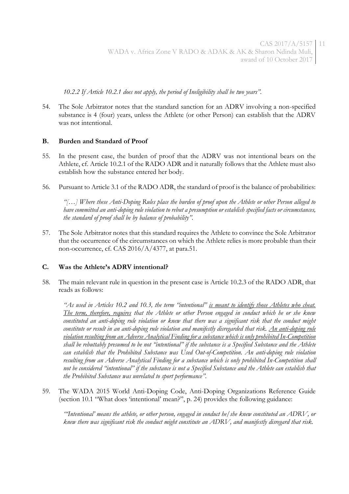*10.2.2 If Article 10.2.1 does not apply, the period of Ineligibility shall be two years".*

54. The Sole Arbitrator notes that the standard sanction for an ADRV involving a non-specified substance is 4 (four) years, unless the Athlete (or other Person) can establish that the ADRV was not intentional.

#### **B. Burden and Standard of Proof**

- 55. In the present case, the burden of proof that the ADRV was not intentional bears on the Athlete, cf. Article 10.2.1 of the RADO ADR and it naturally follows that the Athlete must also establish how the substance entered her body.
- 56. Pursuant to Article 3.1 of the RADO ADR, the standard of proof is the balance of probabilities:

*"[…] Where these Anti-Doping Rules place the burden of proof upon the Athlete or other Person alleged to have committed an anti-doping rule violation to rebut a presumption or establish specified facts or circumstances, the standard of proof shall be by balance of probability".*

57. The Sole Arbitrator notes that this standard requires the Athlete to convince the Sole Arbitrator that the occurrence of the circumstances on which the Athlete relies is more probable than their non-occurrence, cf. CAS 2016/A/4377, at para.51.

#### **C. Was the Athlete's ADRV intentional?**

58. The main relevant rule in question in the present case is Article 10.2.3 of the RADO ADR, that reads as follows:

*"As used in Articles 10.2 and 10.3, the term "intentional" is meant to identify those Athletes who cheat. The term, therefore, requires that the Athlete or other Person engaged in conduct which he or she knew constituted an anti-doping rule violation or knew that there was a significant risk that the conduct might constitute or result in an anti-doping rule violation and manifestly disregarded that risk. An anti-doping rule violation resulting from an Adverse Analytical Finding for a substance which is only prohibited In-Competition shall be rebuttably presumed to be not "intentional" if the substance is a Specified Substance and the Athlete can establish that the Prohibited Substance was Used Out-of-Competition. An anti-doping rule violation resulting from an Adverse Analytical Finding for a substance which is only prohibited In-Competition shall not be considered "intentional" if the substance is not a Specified Substance and the Athlete can establish that the Prohibited Substance was unrelated to sport performance".*

59. The WADA 2015 World Anti-Doping Code, Anti-Doping Organizations Reference Guide (section 10.1 "What does 'intentional' mean?", p. 24) provides the following guidance:

*"'Intentional' means the athlete, or other person, engaged in conduct he/she knew constituted an ADRV, or knew there was significant risk the conduct might constitute an ADRV, and manifestly disregard that risk.*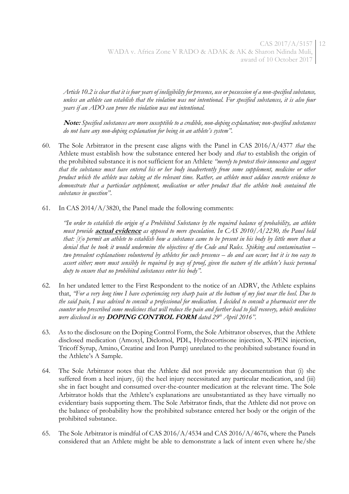*Article 10.2 is clear that it is four years of ineligibility for presence, use or possession of a non-specified substance, unless an athlete can establish that the violation was not intentional. For specified substances, it is also four years if an ADO can prove the violation was not intentional.*

**Note:** *Specified substances are more susceptible to a credible, non-doping explanation; non-specified substances do not have any non-doping explanation for being in an athlete's system".*

- 60. The Sole Arbitrator in the present case aligns with the Panel in CAS 2016/A/4377 *that* the Athlete must establish how the substance entered her body and *that* to establish the origin of the prohibited substance it is not sufficient for an Athlete *"merely to protest their innocence and suggest that the substance must have entered his or her body inadvertently from some supplement, medicine or other product which the athlete was taking at the relevant time. Rather, an athlete must adduce concrete evidence to demonstrate that a particular supplement, medication or other product that the athlete took contained the substance in question"*.
- 61. In CAS 2014/A/3820, the Panel made the following comments:

*"In order to establish the origin of a Prohibited Substance by the required balance of probability, an athlete must provide* **actual evidence** *as opposed to mere speculation. In CAS 2010/A/2230, the Panel held that: [t]o permit an athlete to establish how a substance came to be present in his body by little more than a denial that he took it would undermine the objectives of the Code and Rules. Spiking and contamination – two prevalent explanations volunteered by athletes for such presence – do and can occur; but it is too easy to assert either; more must sensibly be required by way of proof, given the nature of the athlete's basic personal duty to ensure that no prohibited substances enter his body".* 

- 62. In her undated letter to the First Respondent to the notice of an ADRV, the Athlete explains that, *"For a very long time I have experiencing very sharp pain at the bottom of my foot near the heel. Due to the said pain, I was advised to consult a professional for medication. I decided to consult a pharmacist over the counter who prescribed some medicines that will reduce the pain and further lead to full recovery, which medicines were disclosed in my* **DOPING CONTROL FORM** *dated 29th April 2016".*
- 63. As to the disclosure on the Doping Control Form, the Sole Arbitrator observes, that the Athlete disclosed medication (Amoxyl, Diclomol, PDL, Hydrocortisone injection, X-PEN injection, Tricoff Syrup, Amino, Creatine and Iron Pump) unrelated to the prohibited substance found in the Athlete's A Sample.
- 64. The Sole Arbitrator notes that the Athlete did not provide any documentation that (i) she suffered from a heel injury, (ii) the heel injury necessitated any particular medication, and (iii) she in fact bought and consumed over-the-counter medication at the relevant time. The Sole Arbitrator holds that the Athlete's explanations are unsubstantiated as they have virtually no evidentiary basis supporting them. The Sole Arbitrator finds, that the Athlete did not prove on the balance of probability how the prohibited substance entered her body or the origin of the prohibited substance.
- 65. The Sole Arbitrator is mindful of CAS 2016/A/4534 and CAS 2016/A/4676, where the Panels considered that an Athlete might be able to demonstrate a lack of intent even where he/she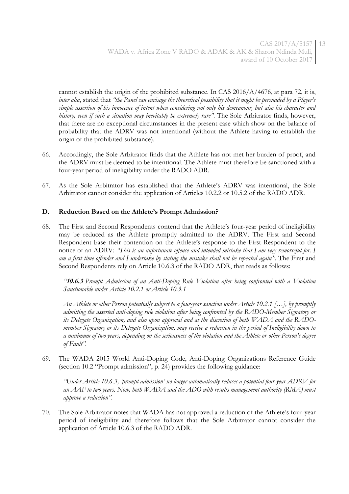cannot establish the origin of the prohibited substance. In CAS  $2016/A/4676$ , at para 72, it is, *inter alia*, stated that *"the Panel can envisage the theoretical possibility that it might be persuaded by a Player's simple assertion of his innocence of intent when considering not only his demeanour, but also his character and history, even if such a situation may inevitably be extremely rare"*. The Sole Arbitrator finds, however, that there are no exceptional circumstances in the present case which show on the balance of probability that the ADRV was not intentional (without the Athlete having to establish the origin of the prohibited substance).

- 66. Accordingly, the Sole Arbitrator finds that the Athlete has not met her burden of proof, and the ADRV must be deemed to be intentional. The Athlete must therefore be sanctioned with a four-year period of ineligibility under the RADO ADR.
- 67. As the Sole Arbitrator has established that the Athlete's ADRV was intentional, the Sole Arbitrator cannot consider the application of Articles 10.2.2 or 10.5.2 of the RADO ADR.

## **D. Reduction Based on the Athlete's Prompt Admission?**

68. The First and Second Respondents contend that the Athlete's four-year period of ineligibility may be reduced as the Athlete promptly admitted to the ADRV. The First and Second Respondent base their contention on the Athlete's response to the First Respondent to the notice of an ADRV: *"This is an unfortunate offence and intended mistake that I am very remorseful for. I am a first time offender and I undertake by stating the mistake shall not be repeated again".* The First and Second Respondents rely on Article 10.6.3 of the RADO ADR, that reads as follows:

*"***10.6.3** *Prompt Admission of an Anti-Doping Rule Violation after being confronted with a Violation Sanctionable under Article 10.2.1 or Article 10.3.1*

*An Athlete or other Person potentially subject to a four-year sanction under Article 10.2.1 […], by promptly admitting the asserted anti-doping rule violation after being confronted by the RADO-Member Signatory or its Delegate Organization, and also upon approval and at the discretion of both WADA and the RADOmember Signatory or its Delegate Organization, may receive a reduction in the period of Ineligibility down to a minimum of two years, depending on the seriousness of the violation and the Athlete or other Person's degree of Fault".*

69. The WADA 2015 World Anti-Doping Code, Anti-Doping Organizations Reference Guide (section 10.2 "Prompt admission", p. 24) provides the following guidance:

*"Under Article 10.6.3, 'prompt admission' no longer automatically reduces a potential four-year ADRV for an AAF to two years. Now, both WADA and the ADO with results management authority (RMA) must approve a reduction".*

70. The Sole Arbitrator notes that WADA has not approved a reduction of the Athlete's four-year period of ineligibility and therefore follows that the Sole Arbitrator cannot consider the application of Article 10.6.3 of the RADO ADR.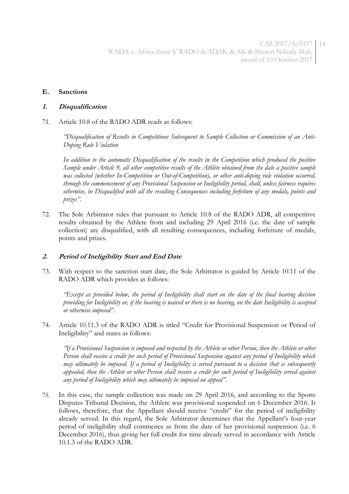#### **E. Sanctions**

#### **1. Disqualification**

71. Article 10.8 of the RADO ADR reads as follows:

*"Disqualification of Results in Competitions Subsequent to Sample Collection or Commission of an Anti-Doping Rule Violation*

*In addition to the automatic Disqualification of the results in the Competition which produced the positive Sample under Article 9, all other competitive results of the Athlete obtained from the date a positive sample was collected (whether In-Competition or Out-of-Competition), or other anti-doping rule violation occurred, through the commencement of any Provisional Suspension or Ineligibility period, shall, unless fairness requires otherwise, be Disqualified with all the resulting Consequences including forfeiture of any medals, points and prizes".*

72. The Sole Arbitrator rules that pursuant to Article 10.8 of the RADO ADR, all competitive results obtained by the Athlete from and including 29 April 2016 (i.e. the date of sample collection) are disqualified, with all resulting consequences, including forfeiture of medals, points and prizes.

#### **2. Period of Ineligibility Start and End Date**

73. With respect to the sanction start date, the Sole Arbitrator is guided by Article 10.11 of the RADO ADR which provides as follows:

*"Except as provided below, the period of Ineligibility shall start on the date of the final hearing decision providing for Ineligibility or, if the hearing is waived or there is no hearing, on the date Ineligibility is accepted or otherwise imposed".*

74. Article 10.11.3 of the RADO ADR is titled "Credit for Provisional Suspension or Period of Ineligibility" and states as follows:

*"If a Provisional Suspension is imposed and respected by the Athlete or other Person, then the Athlete or other Person shall receive a credit for such period of Provisional Suspension against any period of Ineligibility which may ultimately be imposed. If a period of Ineligibility is served pursuant to a decision that is subsequently appealed, then the Athlete or other Person shall receive a credit for such period of Ineligibility served against any period of Ineligibility which may ultimately be imposed on appeal".*

75. In this case, the sample collection was made on 29 April 2016, and according to the Sports Disputes Tribunal Decision, the Athlete was provisional suspended on 6 December 2016. It follows, therefore, that the Appellant should receive "credit" for the period of ineligibility already served. In this regard, the Sole Arbitrator determines that the Appellant's four-year period of ineligibility shall commence as from the date of her provisional suspension (i.e. 6 December 2016), thus giving her full credit for time already served in accordance with Article 10.1.3 of the RADO ADR.